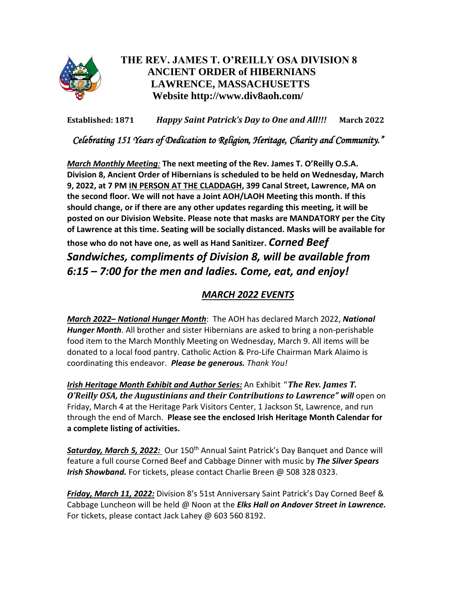

## **THE REV. JAMES T. O'REILLY OSA DIVISION 8 ANCIENT ORDER of HIBERNIANS LAWRENCE, MASSACHUSETTS Website http://www.div8aoh.com/**

**Established: 1871** *Happy Saint Patrick's Day to One and All!!!* **March 2022**

*Celebrating 151 Years of Dedication to Religion, Heritage, Charity and Community."*

*March Monthly Meeting:* **The next meeting of the Rev. James T. O'Reilly O.S.A. Division 8, Ancient Order of Hibernians is scheduled to be held on Wednesday, March 9, 2022, at 7 PM IN PERSON AT THE CLADDAGH, 399 Canal Street, Lawrence, MA on the second floor. We will not have a Joint AOH/LAOH Meeting this month. If this should change, or if there are any other updates regarding this meeting, it will be posted on our Division Website. Please note that masks are MANDATORY per the City of Lawrence at this time. Seating will be socially distanced. Masks will be available for** 

**those who do not have one, as well as Hand Sanitizer.** *Corned Beef Sandwiches, compliments of Division 8, will be available from 6:15 – 7:00 for the men and ladies. Come, eat, and enjoy!*

## *MARCH 2022 EVENTS*

*March 2022– National Hunger Month*: The AOH has declared March 2022, *National Hunger Month*. All brother and sister Hibernians are asked to bring a non-perishable food item to the March Monthly Meeting on Wednesday, March 9. All items will be donated to a local food pantry. Catholic Action & Pro-Life Chairman Mark Alaimo is coordinating this endeavor. *Please be generous. Thank You!*

*Irish Heritage Month Exhibit and Author Series:* An Exhibit *"The Rev. James T. O'Reilly OSA, the Augustinians and their Contributions to Lawrence" will* open on Friday, March 4 at the Heritage Park Visitors Center, 1 Jackson St, Lawrence, and run through the end of March. **Please see the enclosed Irish Heritage Month Calendar for a complete listing of activities.**

*Saturday, March 5, 2022:* Our 150th Annual Saint Patrick's Day Banquet and Dance will feature a full course Corned Beef and Cabbage Dinner with music by *The Silver Spears Irish Showband.* For tickets, please contact Charlie Breen @ 508 328 0323.

*Friday, March 11, 2022:* Division 8's 51st Anniversary Saint Patrick's Day Corned Beef & Cabbage Luncheon will be held @ Noon at the *Elks Hall on Andover Street in Lawrence.* For tickets, please contact Jack Lahey @ 603 560 8192.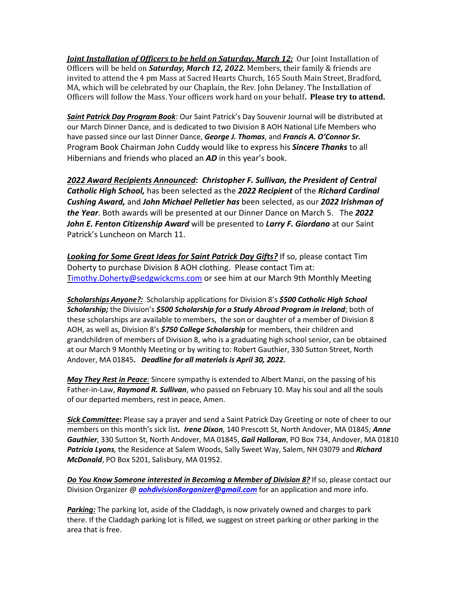*Joint Installation of Officers to be held on Saturday, March 12:* Our Joint Installation of Officers will be held on *Saturday, March 12, 2022.* Members, their family & friends are invited to attend the 4 pm Mass at Sacred Hearts Church, 165 South Main Street, Bradford, MA, which will be celebrated by our Chaplain, the Rev. John Delaney. The Installation of Officers will follow the Mass. Your officers work hard on your behalf**. Please try to attend.**

*Saint Patrick Day Program Book*: Our Saint Patrick's Day Souvenir Journal will be distributed at our March Dinner Dance, and is dedicated to two Division 8 AOH National Life Members who have passed since our last Dinner Dance, *George J. Thomas*, and *Francis A. O'Connor Sr.* Program Book Chairman John Cuddy would like to express his *Sincere Thanks* to all Hibernians and friends who placed an *AD* in this year's book.

*2022 Award Recipients Announced***:** *Christopher F. Sullivan, the President of Central Catholic High School,* has been selected as the *2022 Recipient* of the *Richard Cardinal Cushing Award,* and *John Michael Pelletier has* been selected, as our *2022 Irishman of the Year*. Both awards will be presented at our Dinner Dance on March 5. The *2022 John E. Fenton Citizenship Award* will be presented to *Larry F. Giordano* at our Saint Patrick's Luncheon on March 11.

*Looking for Some Great Ideas for Saint Patrick Day Gifts?* If so, please contact Tim Doherty to purchase Division 8 AOH clothing. Please contact Tim at: [Timothy.Doherty@sedgwickcms.com](mailto:imothy.Doherty@sedgwickcms.com) or see him at our March 9th Monthly Meeting

*Scholarships Anyone?:* Scholarship applications for Division 8's *\$500 Catholic High School Scholarship;* the Division's *\$500 Scholarship for a Study Abroad Program in Ireland*; both of these scholarships are available to members, the son or daughter of a member of Division 8 AOH, as well as, Division 8's *\$750 College Scholarship* for members, their children and grandchildren of members of Division 8, who is a graduating high school senior, can be obtained at our March 9 Monthly Meeting or by writing to: Robert Gauthier, 330 Sutton Street, North Andover, MA 01845**.** *Deadline for all materials is April 30, 2022.*

*May They Rest in Peace:* Sincere sympathy is extended to Albert Manzi, on the passing of his Father-in-Law, *Raymond R. Sullivan*, who passed on February 10. May his soul and all the souls of our departed members, rest in peace, Amen.

*Sick Committee***:** Please say a prayer and send a Saint Patrick Day Greeting or note of cheer to our members on this month's sick list*. Irene Dixon,* 140 Prescott St, North Andover, MA 01845*; Anne Gauthier*, 330 Sutton St, North Andover, MA 01845, *Gail Halloran*, PO Box 734, Andover, MA 01810 *Patricia Lyons,* the Residence at Salem Woods, Sally Sweet Way, Salem, NH 03079 and *Richard McDonald*, PO Box 5201, Salisbury, MA 01952.

*Do You Know Someone interested in Becoming a Member of Division 8?* If so, please contact our Division Organizer @ *[aohdivision8organizer@gmail.com](mailto:aohdivision8organizer@gmail.com)* for an application and more info.

*Parking:* The parking lot, aside of the Claddagh, is now privately owned and charges to park there. If the Claddagh parking lot is filled, we suggest on street parking or other parking in the area that is free.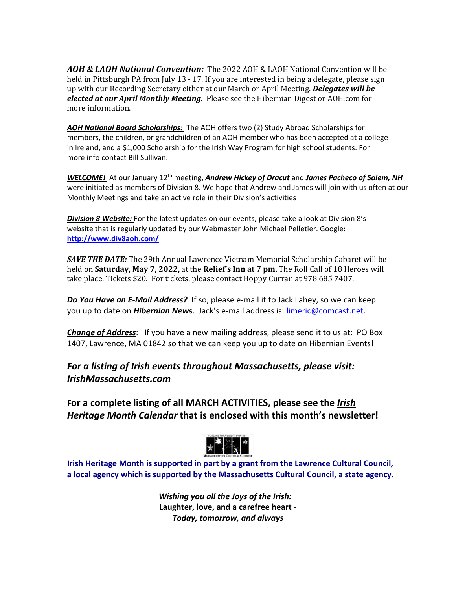*AOH & LAOH National Convention:* The 2022 AOH & LAOH National Convention will be held in Pittsburgh PA from July 13 - 17. If you are interested in being a delegate, please sign up with our Recording Secretary either at our March or April Meeting. *Delegates will be elected at our April Monthly Meeting.* Please see the Hibernian Digest or AOH.com for more information.

*AOH National Board Scholarships:* The AOH offers two (2) Study Abroad Scholarships for members, the children, or grandchildren of an AOH member who has been accepted at a college in Ireland, and a \$1,000 Scholarship for the Irish Way Program for high school students. For more info contact Bill Sullivan.

WELCOME! At our January 12<sup>th</sup> meeting, *Andrew Hickey of Dracut* and *James Pacheco of Salem, NH* were initiated as members of Division 8. We hope that Andrew and James will join with us often at our Monthly Meetings and take an active role in their Division's activities

*Division 8 Website:* For the latest updates on our events, please take a look at Division 8's website that is regularly updated by our Webmaster John Michael Pelletier. Google: **<http://www.div8aoh.com/>**

*SAVE THE DATE:* The 29th Annual Lawrence Vietnam Memorial Scholarship Cabaret will be held on **Saturday, May 7, 2022,** at the **Relief's Inn at 7 pm.** The Roll Call of 18 Heroes will take place. Tickets \$20. For tickets, please contact Hoppy Curran at 978 685 7407.

*Do You Have an E-Mail Address?* If so, please e-mail it to Jack Lahey, so we can keep you up to date on *Hibernian New***s**. Jack's e-mail address is: [limeric@comcast.net.](mailto:limeric@comcast.net)

*Change of Address*: If you have a new mailing address, please send it to us at: PO Box 1407, Lawrence, MA 01842 so that we can keep you up to date on Hibernian Events!

*For a listing of Irish events throughout Massachusetts, please visit: IrishMassachusetts.com*

**For a complete listing of all MARCH ACTIVITIES, please see the** *Irish Heritage Month Calendar* **that is enclosed with this month's newsletter!**



**Irish Heritage Month is supported in part by a grant from the Lawrence Cultural Council, a local agency which is supported by the Massachusetts Cultural Council, a state agency.**

> *Wishing you all the Joys of the Irish:* **Laughter, love, and a carefree heart -** *Today, tomorrow, and always*